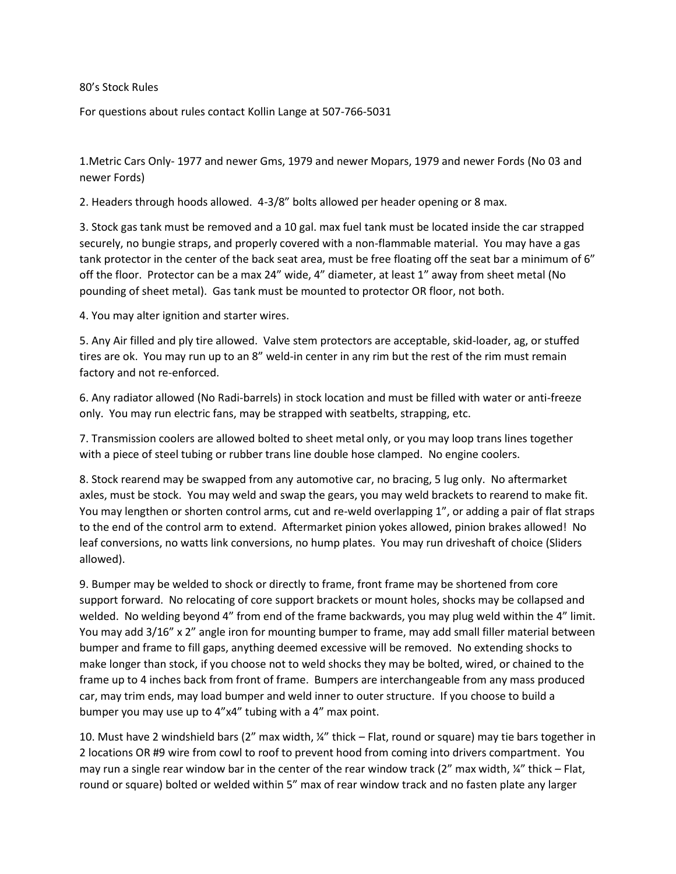80's Stock Rules

For questions about rules contact Kollin Lange at 507-766-5031

1.Metric Cars Only- 1977 and newer Gms, 1979 and newer Mopars, 1979 and newer Fords (No 03 and newer Fords)

2. Headers through hoods allowed. 4-3/8" bolts allowed per header opening or 8 max.

3. Stock gas tank must be removed and a 10 gal. max fuel tank must be located inside the car strapped securely, no bungie straps, and properly covered with a non-flammable material. You may have a gas tank protector in the center of the back seat area, must be free floating off the seat bar a minimum of 6" off the floor. Protector can be a max 24" wide, 4" diameter, at least 1" away from sheet metal (No pounding of sheet metal). Gas tank must be mounted to protector OR floor, not both.

4. You may alter ignition and starter wires.

5. Any Air filled and ply tire allowed. Valve stem protectors are acceptable, skid-loader, ag, or stuffed tires are ok. You may run up to an 8" weld-in center in any rim but the rest of the rim must remain factory and not re-enforced.

6. Any radiator allowed (No Radi-barrels) in stock location and must be filled with water or anti-freeze only. You may run electric fans, may be strapped with seatbelts, strapping, etc.

7. Transmission coolers are allowed bolted to sheet metal only, or you may loop trans lines together with a piece of steel tubing or rubber trans line double hose clamped. No engine coolers.

8. Stock rearend may be swapped from any automotive car, no bracing, 5 lug only. No aftermarket axles, must be stock. You may weld and swap the gears, you may weld brackets to rearend to make fit. You may lengthen or shorten control arms, cut and re-weld overlapping 1", or adding a pair of flat straps to the end of the control arm to extend. Aftermarket pinion yokes allowed, pinion brakes allowed! No leaf conversions, no watts link conversions, no hump plates. You may run driveshaft of choice (Sliders allowed).

9. Bumper may be welded to shock or directly to frame, front frame may be shortened from core support forward. No relocating of core support brackets or mount holes, shocks may be collapsed and welded. No welding beyond 4" from end of the frame backwards, you may plug weld within the 4" limit. You may add 3/16" x 2" angle iron for mounting bumper to frame, may add small filler material between bumper and frame to fill gaps, anything deemed excessive will be removed. No extending shocks to make longer than stock, if you choose not to weld shocks they may be bolted, wired, or chained to the frame up to 4 inches back from front of frame. Bumpers are interchangeable from any mass produced car, may trim ends, may load bumper and weld inner to outer structure. If you choose to build a bumper you may use up to 4"x4" tubing with a 4" max point.

10. Must have 2 windshield bars (2" max width, ¼" thick – Flat, round or square) may tie bars together in 2 locations OR #9 wire from cowl to roof to prevent hood from coming into drivers compartment. You may run a single rear window bar in the center of the rear window track (2" max width,  $\frac{1}{4}$ " thick – Flat, round or square) bolted or welded within 5" max of rear window track and no fasten plate any larger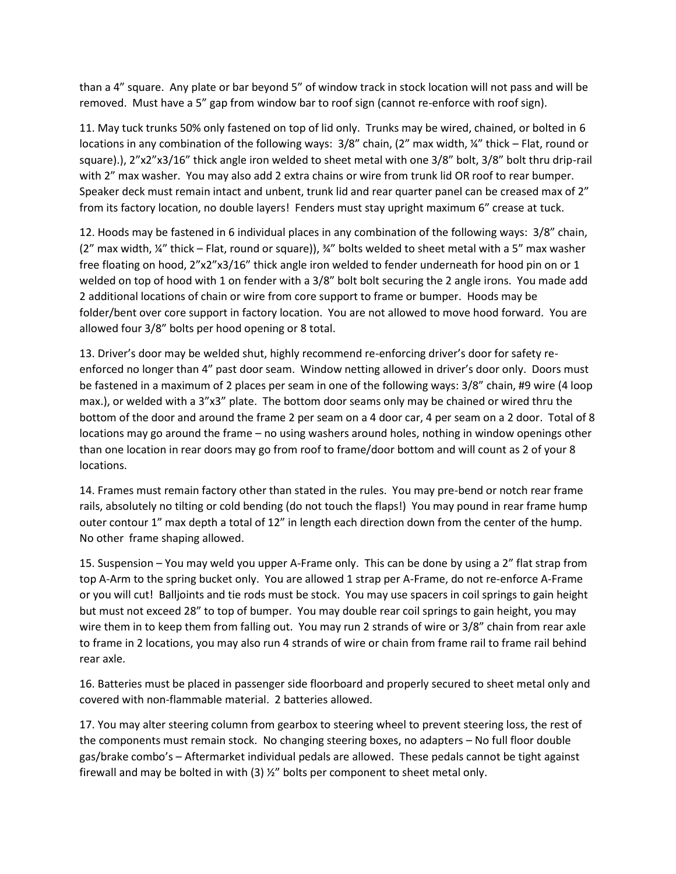than a 4" square. Any plate or bar beyond 5" of window track in stock location will not pass and will be removed. Must have a 5" gap from window bar to roof sign (cannot re-enforce with roof sign).

11. May tuck trunks 50% only fastened on top of lid only. Trunks may be wired, chained, or bolted in 6 locations in any combination of the following ways: 3/8" chain, (2" max width, ¼" thick – Flat, round or square).), 2"x2"x3/16" thick angle iron welded to sheet metal with one 3/8" bolt, 3/8" bolt thru drip-rail with 2" max washer. You may also add 2 extra chains or wire from trunk lid OR roof to rear bumper. Speaker deck must remain intact and unbent, trunk lid and rear quarter panel can be creased max of 2" from its factory location, no double layers! Fenders must stay upright maximum 6" crease at tuck.

12. Hoods may be fastened in 6 individual places in any combination of the following ways: 3/8" chain,  $(2<sup>n</sup>$  max width,  $\frac{1}{4}$  thick – Flat, round or square)),  $\frac{1}{4}$  bolts welded to sheet metal with a 5<sup>n</sup> max washer free floating on hood, 2"x2"x3/16" thick angle iron welded to fender underneath for hood pin on or 1 welded on top of hood with 1 on fender with a 3/8" bolt bolt securing the 2 angle irons. You made add 2 additional locations of chain or wire from core support to frame or bumper. Hoods may be folder/bent over core support in factory location. You are not allowed to move hood forward. You are allowed four 3/8" bolts per hood opening or 8 total.

13. Driver's door may be welded shut, highly recommend re-enforcing driver's door for safety reenforced no longer than 4" past door seam. Window netting allowed in driver's door only. Doors must be fastened in a maximum of 2 places per seam in one of the following ways: 3/8" chain, #9 wire (4 loop max.), or welded with a 3"x3" plate. The bottom door seams only may be chained or wired thru the bottom of the door and around the frame 2 per seam on a 4 door car, 4 per seam on a 2 door. Total of 8 locations may go around the frame – no using washers around holes, nothing in window openings other than one location in rear doors may go from roof to frame/door bottom and will count as 2 of your 8 locations.

14. Frames must remain factory other than stated in the rules. You may pre-bend or notch rear frame rails, absolutely no tilting or cold bending (do not touch the flaps!) You may pound in rear frame hump outer contour 1" max depth a total of 12" in length each direction down from the center of the hump. No other frame shaping allowed.

15. Suspension – You may weld you upper A-Frame only. This can be done by using a 2" flat strap from top A-Arm to the spring bucket only. You are allowed 1 strap per A-Frame, do not re-enforce A-Frame or you will cut! Balljoints and tie rods must be stock. You may use spacers in coil springs to gain height but must not exceed 28" to top of bumper. You may double rear coil springs to gain height, you may wire them in to keep them from falling out. You may run 2 strands of wire or 3/8" chain from rear axle to frame in 2 locations, you may also run 4 strands of wire or chain from frame rail to frame rail behind rear axle.

16. Batteries must be placed in passenger side floorboard and properly secured to sheet metal only and covered with non-flammable material. 2 batteries allowed.

17. You may alter steering column from gearbox to steering wheel to prevent steering loss, the rest of the components must remain stock. No changing steering boxes, no adapters – No full floor double gas/brake combo's – Aftermarket individual pedals are allowed. These pedals cannot be tight against firewall and may be bolted in with  $(3)$   $\frac{1}{2}$  bolts per component to sheet metal only.